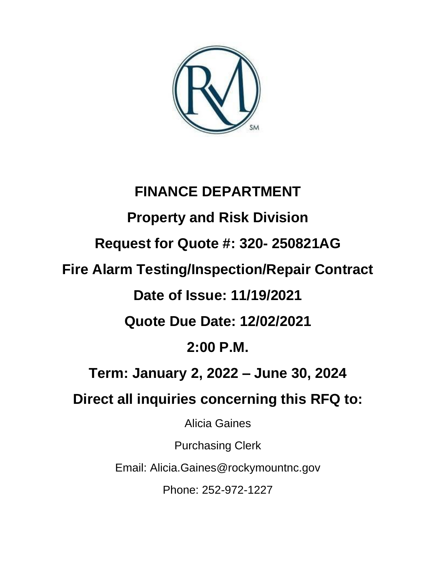

# **FINANCE DEPARTMENT Property and Risk Division Request for Quote #: 320- 250821AG Fire Alarm Testing/Inspection/Repair Contract Date of Issue: 11/19/2021 Quote Due Date: 12/02/2021 2:00 P.M. Term: January 2, 2022 – June 30, 2024 Direct all inquiries concerning this RFQ to:** Alicia Gaines Purchasing Clerk Email: Alicia.Gaines@rockymountnc.gov Phone: 252-972-1227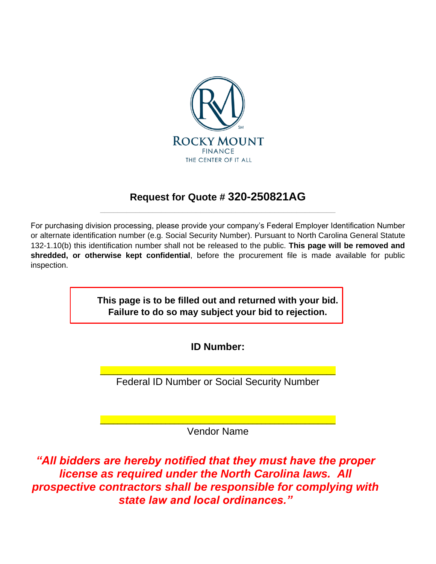

## **Request for Quote # 320-250821AG** \_\_\_\_\_\_\_\_\_\_\_\_\_\_\_\_\_\_\_\_\_\_\_\_\_\_\_\_\_\_\_\_\_\_\_\_\_\_\_\_\_\_\_\_\_\_\_\_\_\_\_\_\_\_

For purchasing division processing, please provide your company's Federal Employer Identification Number or alternate identification number (e.g. Social Security Number). Pursuant to North Carolina General Statute 132-1.10(b) this identification number shall not be released to the public. **This page will be removed and shredded, or otherwise kept confidential**, before the procurement file is made available for public inspection.

> **This page is to be filled out and returned with your bid. Failure to do so may subject your bid to rejection.**

> > **ID Number:**

\_\_\_\_\_\_\_\_\_\_\_\_\_\_\_\_\_\_\_\_\_\_\_\_\_\_\_\_\_\_\_\_\_\_\_\_\_\_\_\_\_\_\_\_\_\_\_\_\_\_\_\_\_\_ Federal ID Number or Social Security Number

\_\_\_\_\_\_\_\_\_\_\_\_\_\_\_\_\_\_\_\_\_\_\_\_\_\_\_\_\_\_\_\_\_\_\_\_\_\_\_\_\_\_\_\_\_\_\_\_\_\_\_\_\_\_ Vendor Name

*"All bidders are hereby notified that they must have the proper license as required under the North Carolina laws. All prospective contractors shall be responsible for complying with state law and local ordinances."*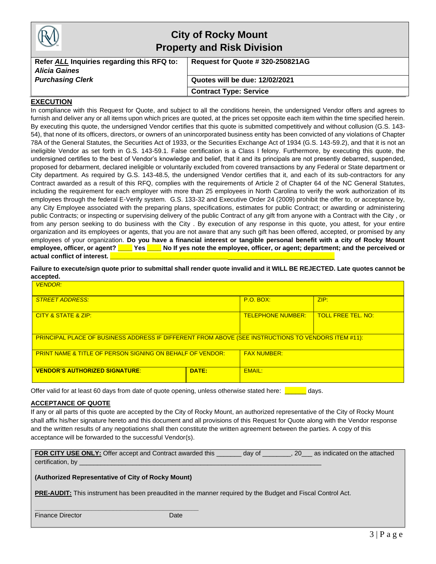|                                                                    | <b>City of Rocky Mount</b><br><b>Property and Risk Division</b> |  |  |
|--------------------------------------------------------------------|-----------------------------------------------------------------|--|--|
| Refer ALL Inquiries regarding this RFQ to:<br><b>Alicia Gaines</b> | Request for Quote # 320-250821AG                                |  |  |
| <b>Purchasing Clerk</b>                                            | Quotes will be due: 12/02/2021                                  |  |  |
|                                                                    | <b>Contract Type: Service</b>                                   |  |  |

#### **EXECUTION**

In compliance with this Request for Quote, and subject to all the conditions herein, the undersigned Vendor offers and agrees to furnish and deliver any or all items upon which prices are quoted, at the prices set opposite each item within the time specified herein. By executing this quote, the undersigned Vendor certifies that this quote is submitted competitively and without collusion (G.S. 143- 54), that none of its officers, directors, or owners of an unincorporated business entity has been convicted of any violations of Chapter 78A of the General Statutes, the Securities Act of 1933, or the Securities Exchange Act of 1934 (G.S. 143-59.2), and that it is not an ineligible Vendor as set forth in G.S. 143-59.1. False certification is a Class I felony. Furthermore, by executing this quote, the undersigned certifies to the best of Vendor's knowledge and belief, that it and its principals are not presently debarred, suspended, proposed for debarment, declared ineligible or voluntarily excluded from covered transactions by any Federal or State department or City department. As required by G.S. 143-48.5, the undersigned Vendor certifies that it, and each of its sub-contractors for any Contract awarded as a result of this RFQ, complies with the requirements of Article 2 of Chapter 64 of the NC General Statutes, including the requirement for each employer with more than 25 employees in North Carolina to verify the work authorization of its employees through the federal E-Verify system. G.S. 133-32 and Executive Order 24 (2009) prohibit the offer to, or acceptance by, any City Employee associated with the preparing plans, specifications, estimates for public Contract; or awarding or administering public Contracts; or inspecting or supervising delivery of the public Contract of any gift from anyone with a Contract with the City , or from any person seeking to do business with the City . By execution of any response in this quote, you attest, for your entire organization and its employees or agents, that you are not aware that any such gift has been offered, accepted, or promised by any employees of your organization. **Do you have a financial interest or tangible personal benefit with a city of Rocky Mount employee, officer, or agent? \_\_\_\_ Yes \_\_\_\_ No If yes note the employee, officer, or agent; department; and the perceived or**  actual conflict of interest.

**Failure to execute/sign quote prior to submittal shall render quote invalid and it WILL BE REJECTED. Late quotes cannot be accepted.**

| <b>VENDOR:</b>                                                                                             |       |                          |                           |
|------------------------------------------------------------------------------------------------------------|-------|--------------------------|---------------------------|
| <b>STREET ADDRESS:</b>                                                                                     |       | P.O. BOX:                | ZIP:                      |
| CITY & STATE & ZIP:                                                                                        |       | <b>TELEPHONE NUMBER:</b> | <b>TOLL FREE TEL. NO:</b> |
| <b>PRINCIPAL PLACE OF BUSINESS ADDRESS IF DIFFERENT FROM ABOVE (SEE INSTRUCTIONS TO VENDORS ITEM #11):</b> |       |                          |                           |
| <b>PRINT NAME &amp; TITLE OF PERSON SIGNING ON BEHALF OF VENDOR:</b>                                       |       | <b>FAX NUMBER:</b>       |                           |
| <b>VENDOR'S AUTHORIZED SIGNATURE:</b>                                                                      | DATE: | EMAIL:                   |                           |

Offer valid for at least 60 days from date of quote opening, unless otherwise stated here: **The ansignment** days.

#### **ACCEPTANCE OF QUOTE**

If any or all parts of this quote are accepted by the City of Rocky Mount, an authorized representative of the City of Rocky Mount shall affix his/her signature hereto and this document and all provisions of this Request for Quote along with the Vendor response and the written results of any negotiations shall then constitute the written agreement between the parties. A copy of this acceptance will be forwarded to the successful Vendor(s).

| FOR CITY USE ONLY: Offer accept and Contract awarded this | day of | 20 | as indicated on the attached |
|-----------------------------------------------------------|--------|----|------------------------------|
| certification, by                                         |        |    |                              |

#### **(Authorized Representative of City of Rocky Mount)**

**\_\_\_\_\_\_\_\_\_\_\_\_\_\_\_\_\_\_\_\_\_\_\_\_\_\_\_\_\_\_\_\_\_\_\_\_\_\_\_\_\_\_\_\_\_\_**

**PRE-AUDIT:** This instrument has been preaudited in the manner required by the Budget and Fiscal Control Act.

| <b>Finance Director</b> | Date |
|-------------------------|------|
|-------------------------|------|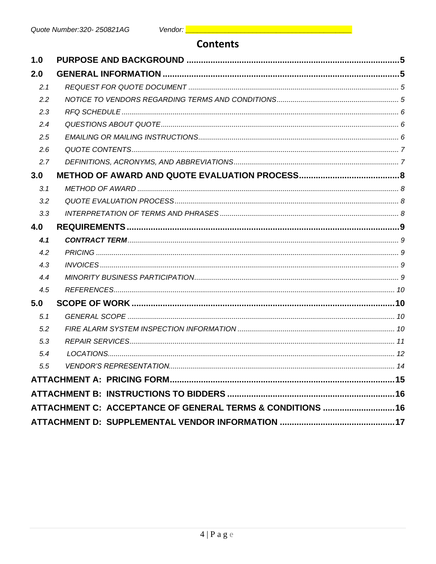## **Contents**

| 1.0 |                                                            |  |
|-----|------------------------------------------------------------|--|
| 2.0 |                                                            |  |
| 2.1 |                                                            |  |
| 2.2 |                                                            |  |
| 2.3 |                                                            |  |
| 2.4 |                                                            |  |
| 2.5 |                                                            |  |
| 2.6 |                                                            |  |
| 2.7 |                                                            |  |
| 3.0 |                                                            |  |
| 3.1 |                                                            |  |
| 3.2 |                                                            |  |
| 3.3 |                                                            |  |
| 4.0 |                                                            |  |
| 4.1 |                                                            |  |
| 4.2 |                                                            |  |
| 4.3 |                                                            |  |
| 4.4 |                                                            |  |
| 4.5 |                                                            |  |
| 5.0 |                                                            |  |
| 5.1 |                                                            |  |
| 5.2 |                                                            |  |
| 5.3 |                                                            |  |
| 5.4 |                                                            |  |
| 5.5 |                                                            |  |
|     |                                                            |  |
|     |                                                            |  |
|     | ATTACHMENT C: ACCEPTANCE OF GENERAL TERMS & CONDITIONS  16 |  |
|     |                                                            |  |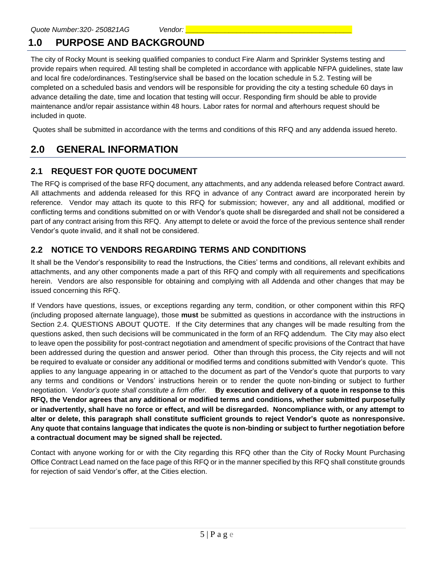# <span id="page-4-0"></span>**1.0 PURPOSE AND BACKGROUND**

The city of Rocky Mount is seeking qualified companies to conduct Fire Alarm and Sprinkler Systems testing and provide repairs when required. All testing shall be completed in accordance with applicable NFPA guidelines, state law and local fire code/ordinances. Testing/service shall be based on the location schedule in 5.2. Testing will be completed on a scheduled basis and vendors will be responsible for providing the city a testing schedule 60 days in advance detailing the date, time and location that testing will occur. Responding firm should be able to provide maintenance and/or repair assistance within 48 hours. Labor rates for normal and afterhours request should be included in quote.

Quotes shall be submitted in accordance with the terms and conditions of this RFQ and any addenda issued hereto.

# <span id="page-4-1"></span>**2.0 GENERAL INFORMATION**

## <span id="page-4-2"></span>**2.1 REQUEST FOR QUOTE DOCUMENT**

The RFQ is comprised of the base RFQ document, any attachments, and any addenda released before Contract award. All attachments and addenda released for this RFQ in advance of any Contract award are incorporated herein by reference. Vendor may attach its quote to this RFQ for submission; however, any and all additional, modified or conflicting terms and conditions submitted on or with Vendor's quote shall be disregarded and shall not be considered a part of any contract arising from this RFQ. Any attempt to delete or avoid the force of the previous sentence shall render Vendor's quote invalid, and it shall not be considered.

## <span id="page-4-3"></span>**2.2 NOTICE TO VENDORS REGARDING TERMS AND CONDITIONS**

It shall be the Vendor's responsibility to read the Instructions, the Cities' terms and conditions, all relevant exhibits and attachments, and any other components made a part of this RFQ and comply with all requirements and specifications herein. Vendors are also responsible for obtaining and complying with all Addenda and other changes that may be issued concerning this RFQ.

If Vendors have questions, issues, or exceptions regarding any term, condition, or other component within this RFQ (including proposed alternate language), those **must** be submitted as questions in accordance with the instructions in Section 2.4. QUESTIONS ABOUT QUOTE. If the City determines that any changes will be made resulting from the questions asked, then such decisions will be communicated in the form of an RFQ addendum. The City may also elect to leave open the possibility for post-contract negotiation and amendment of specific provisions of the Contract that have been addressed during the question and answer period. Other than through this process, the City rejects and will not be required to evaluate or consider any additional or modified terms and conditions submitted with Vendor's quote. This applies to any language appearing in or attached to the document as part of the Vendor's quote that purports to vary any terms and conditions or Vendors' instructions herein or to render the quote non-binding or subject to further negotiation. *Vendor's quote shall constitute a firm offer.* **By execution and delivery of a quote in response to this RFQ, the Vendor agrees that any additional or modified terms and conditions, whether submitted purposefully or inadvertently, shall have no force or effect, and will be disregarded. Noncompliance with, or any attempt to alter or delete, this paragraph shall constitute sufficient grounds to reject Vendor's quote as nonresponsive. Any quote that contains language that indicates the quote is non-binding or subject to further negotiation before a contractual document may be signed shall be rejected.**

Contact with anyone working for or with the City regarding this RFQ other than the City of Rocky Mount Purchasing Office Contract Lead named on the face page of this RFQ or in the manner specified by this RFQ shall constitute grounds for rejection of said Vendor's offer, at the Cities election.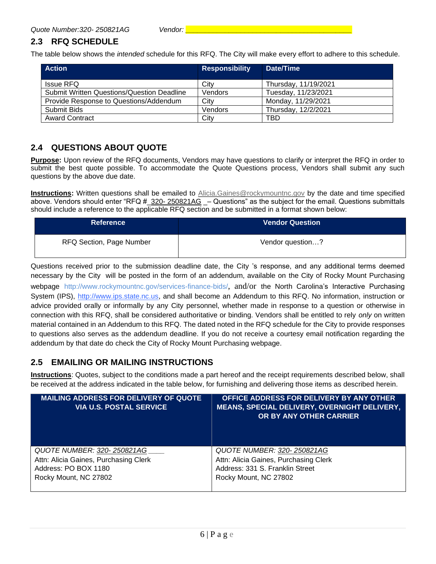## <span id="page-5-0"></span>**2.3 RFQ SCHEDULE**

The table below shows the *intended* schedule for this RFQ. The City will make every effort to adhere to this schedule.

| <b>Action</b>                                     | <b>Responsibility</b> | Date/Time            |
|---------------------------------------------------|-----------------------|----------------------|
| <b>Issue RFQ</b>                                  | City                  | Thursday, 11/19/2021 |
| <b>Submit Written Questions/Question Deadline</b> | Vendors               | Tuesday, 11/23/2021  |
| Provide Response to Questions/Addendum            | Citv                  | Monday, 11/29/2021   |
| Submit Bids                                       | Vendors               | Thursday, 12/2/2021  |
| <b>Award Contract</b>                             | City                  | TBD                  |

#### <span id="page-5-1"></span>**2.4 QUESTIONS ABOUT QUOTE**

**Purpose:** Upon review of the RFQ documents, Vendors may have questions to clarify or interpret the RFQ in order to submit the best quote possible. To accommodate the Quote Questions process, Vendors shall submit any such questions by the above due date.

**Instructions:** Written questions shall be emailed to [Alicia.Gaines@rockymountnc.gov](mailto:debra.harris@rockymountnc.gov) by the date and time specified above. Vendors should enter "RFQ # 320- 250821AG \_– Questions" as the subject for the email. Questions submittals should include a reference to the applicable RFQ section and be submitted in a format shown below:

| <b>Reference</b>         | <b>Vendor Question</b> |
|--------------------------|------------------------|
| RFQ Section, Page Number | Vendor question?       |

Questions received prior to the submission deadline date, the City 's response, and any additional terms deemed necessary by the City will be posted in the form of an addendum, available on the City of Rocky Mount Purchasing webpage http://www.rockymountnc.gov/services-finance-bids/, and/or the North Carolina's Interactive Purchasing System (IPS), [http://www.ips.state.nc.us,](http://www.ips.state.nc.us/) and shall become an Addendum to this RFQ. No information, instruction or advice provided orally or informally by any City personnel, whether made in response to a question or otherwise in connection with this RFQ, shall be considered authoritative or binding. Vendors shall be entitled to rely *only* on written material contained in an Addendum to this RFQ. The dated noted in the RFQ schedule for the City to provide responses to questions also serves as the addendum deadline. If you do not receive a courtesy email notification regarding the addendum by that date do check the City of Rocky Mount Purchasing webpage.

#### <span id="page-5-2"></span>**2.5 EMAILING OR MAILING INSTRUCTIONS**

**Instructions**: Quotes, subject to the conditions made a part hereof and the receipt requirements described below, shall be received at the address indicated in the table below, for furnishing and delivering those items as described herein.

| <b>MAILING ADDRESS FOR DELIVERY OF QUOTE</b><br><b>VIA U.S. POSTAL SERVICE</b> | OFFICE ADDRESS FOR DELIVERY BY ANY OTHER<br>MEANS, SPECIAL DELIVERY, OVERNIGHT DELIVERY,<br>OR BY ANY OTHER CARRIER |
|--------------------------------------------------------------------------------|---------------------------------------------------------------------------------------------------------------------|
| QUOTE NUMBER: 320-250821AG                                                     | QUOTE NUMBER: 320-250821AG                                                                                          |
| Attn: Alicia Gaines, Purchasing Clerk                                          | Attn: Alicia Gaines, Purchasing Clerk                                                                               |
| Address: PO BOX 1180                                                           | Address: 331 S. Franklin Street                                                                                     |
| Rocky Mount, NC 27802                                                          | Rocky Mount, NC 27802                                                                                               |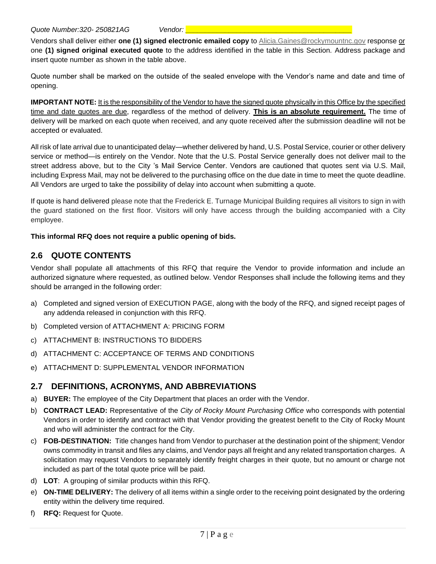Vendors shall deliver either **one (1) signed electronic emailed copy** t[o Alicia.Gaines@rockymountnc.gov](mailto:debra.harris@rockymountnc.gov) response or one **(1) signed original executed quote** to the address identified in the table in this Section. Address package and insert quote number as shown in the table above.

Quote number shall be marked on the outside of the sealed envelope with the Vendor's name and date and time of opening.

**IMPORTANT NOTE:** It is the responsibility of the Vendor to have the signed quote physically in this Office by the specified time and date quotes are due, regardless of the method of delivery. **This is an absolute requirement.** The time of delivery will be marked on each quote when received, and any quote received after the submission deadline will not be accepted or evaluated.

All risk of late arrival due to unanticipated delay—whether delivered by hand, U.S. Postal Service, courier or other delivery service or method—is entirely on the Vendor. Note that the U.S. Postal Service generally does not deliver mail to the street address above, but to the City 's Mail Service Center. Vendors are cautioned that quotes sent via U.S. Mail, including Express Mail, may not be delivered to the purchasing office on the due date in time to meet the quote deadline. All Vendors are urged to take the possibility of delay into account when submitting a quote.

If quote is hand delivered please note that the Frederick E. Turnage Municipal Building requires all visitors to sign in with the guard stationed on the first floor. Visitors will only have access through the building accompanied with a City employee.

#### **This informal RFQ does not require a public opening of bids.**

#### <span id="page-6-0"></span>**2.6 QUOTE CONTENTS**

Vendor shall populate all attachments of this RFQ that require the Vendor to provide information and include an authorized signature where requested, as outlined below. Vendor Responses shall include the following items and they should be arranged in the following order:

- a) Completed and signed version of EXECUTION PAGE, along with the body of the RFQ, and signed receipt pages of any addenda released in conjunction with this RFQ.
- b) Completed version of ATTACHMENT A: PRICING FORM
- c) ATTACHMENT B: INSTRUCTIONS TO BIDDERS
- d) ATTACHMENT C: ACCEPTANCE OF TERMS AND CONDITIONS
- e) ATTACHMENT D: SUPPLEMENTAL VENDOR INFORMATION

#### <span id="page-6-1"></span>**2.7 DEFINITIONS, ACRONYMS, AND ABBREVIATIONS**

- a) **BUYER:** The employee of the City Department that places an order with the Vendor.
- b) **CONTRACT LEAD:** Representative of the *City of Rocky Mount Purchasing Office* who corresponds with potential Vendors in order to identify and contract with that Vendor providing the greatest benefit to the City of Rocky Mount and who will administer the contract for the City.
- c) **FOB-DESTINATION:** Title changes hand from Vendor to purchaser at the destination point of the shipment; Vendor owns commodity in transit and files any claims, and Vendor pays all freight and any related transportation charges. A solicitation may request Vendors to separately identify freight charges in their quote, but no amount or charge not included as part of the total quote price will be paid.
- d) **LOT**: A grouping of similar products within this RFQ.
- e) **ON-TIME DELIVERY:** The delivery of all items within a single order to the receiving point designated by the ordering entity within the delivery time required.
- f) **RFQ:** Request for Quote.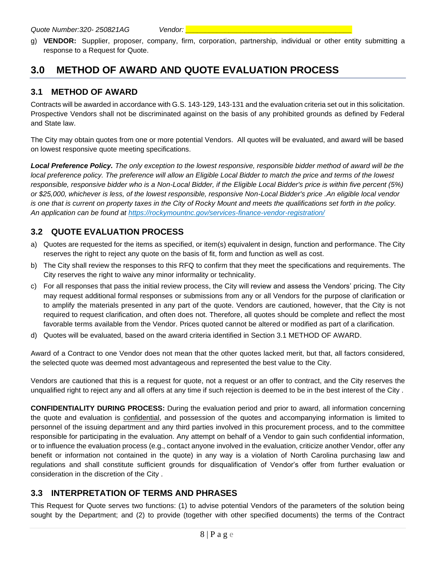g) **VENDOR:** Supplier, proposer, company, firm, corporation, partnership, individual or other entity submitting a response to a Request for Quote.

# <span id="page-7-0"></span>**3.0 METHOD OF AWARD AND QUOTE EVALUATION PROCESS**

### <span id="page-7-1"></span>**3.1 METHOD OF AWARD**

Contracts will be awarded in accordance with G.S. 143-129, 143-131 and the evaluation criteria set out in this solicitation. Prospective Vendors shall not be discriminated against on the basis of any prohibited grounds as defined by Federal and State law.

The City may obtain quotes from one or more potential Vendors. All quotes will be evaluated, and award will be based on lowest responsive quote meeting specifications.

*Local Preference Policy. The only exception to the lowest responsive, responsible bidder method of award will be the local preference policy. The preference will allow an Eligible Local Bidder to match the price and terms of the lowest responsible, responsive bidder who is a Non-Local Bidder, if the Eligible Local Bidder's price is within five percent (5%) or \$25,000, whichever is less, of the lowest responsible, responsive Non-Local Bidder's price .An eligible local vendor is one that is current on property taxes in the City of Rocky Mount and meets the qualifications set forth in the policy. An application can be found at<https://rockymountnc.gov/services-finance-vendor-registration/>*

## <span id="page-7-2"></span>**3.2 QUOTE EVALUATION PROCESS**

- a) Quotes are requested for the items as specified, or item(s) equivalent in design, function and performance. The City reserves the right to reject any quote on the basis of fit, form and function as well as cost.
- b) The City shall review the responses to this RFQ to confirm that they meet the specifications and requirements. The City reserves the right to waive any minor informality or technicality.
- c) For all responses that pass the initial review process, the City will review and assess the Vendors' pricing. The City may request additional formal responses or submissions from any or all Vendors for the purpose of clarification or to amplify the materials presented in any part of the quote. Vendors are cautioned, however, that the City is not required to request clarification, and often does not. Therefore, all quotes should be complete and reflect the most favorable terms available from the Vendor. Prices quoted cannot be altered or modified as part of a clarification.
- d) Quotes will be evaluated, based on the award criteria identified in Section 3.1 METHOD OF AWARD.

Award of a Contract to one Vendor does not mean that the other quotes lacked merit, but that, all factors considered, the selected quote was deemed most advantageous and represented the best value to the City.

Vendors are cautioned that this is a request for quote, not a request or an offer to contract, and the City reserves the unqualified right to reject any and all offers at any time if such rejection is deemed to be in the best interest of the City .

**CONFIDENTIALITY DURING PROCESS:** During the evaluation period and prior to award, all information concerning the quote and evaluation is **confidential**, and possession of the quotes and accompanying information is limited to personnel of the issuing department and any third parties involved in this procurement process, and to the committee responsible for participating in the evaluation. Any attempt on behalf of a Vendor to gain such confidential information, or to influence the evaluation process (e.g., contact anyone involved in the evaluation, criticize another Vendor, offer any benefit or information not contained in the quote) in any way is a violation of North Carolina purchasing law and regulations and shall constitute sufficient grounds for disqualification of Vendor's offer from further evaluation or consideration in the discretion of the City .

## <span id="page-7-3"></span>**3.3 INTERPRETATION OF TERMS AND PHRASES**

This Request for Quote serves two functions: (1) to advise potential Vendors of the parameters of the solution being sought by the Department; and (2) to provide (together with other specified documents) the terms of the Contract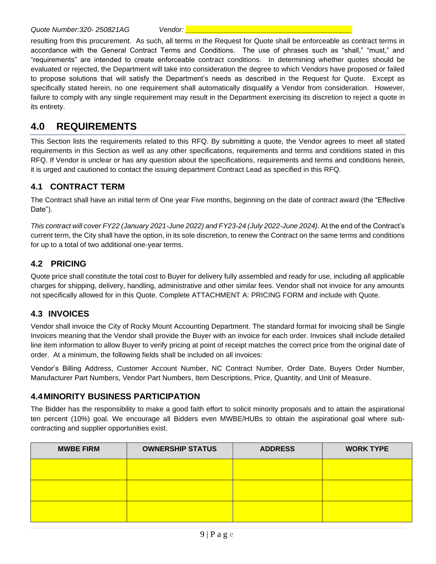resulting from this procurement. As such, all terms in the Request for Quote shall be enforceable as contract terms in accordance with the General Contract Terms and Conditions. The use of phrases such as "shall," "must," and "requirements" are intended to create enforceable contract conditions. In determining whether quotes should be evaluated or rejected, the Department will take into consideration the degree to which Vendors have proposed or failed to propose solutions that will satisfy the Department's needs as described in the Request for Quote. Except as specifically stated herein, no one requirement shall automatically disqualify a Vendor from consideration. However, failure to comply with any single requirement may result in the Department exercising its discretion to reject a quote in its entirety.

# <span id="page-8-0"></span>**4.0 REQUIREMENTS**

This Section lists the requirements related to this RFQ. By submitting a quote, the Vendor agrees to meet all stated requirements in this Section as well as any other specifications, requirements and terms and conditions stated in this RFQ. If Vendor is unclear or has any question about the specifications, requirements and terms and conditions herein, it is urged and cautioned to contact the issuing department Contract Lead as specified in this RFQ.

#### <span id="page-8-1"></span>**4.1 CONTRACT TERM**

The Contract shall have an initial term of One year Five months, beginning on the date of contract award (the "Effective Date").

*This contract will cover FY22 (January 2021-June 2022) and FY23-24 (July 2022-June 2024).* At the end of the Contract's current term, the City shall have the option, in its sole discretion, to renew the Contract on the same terms and conditions for up to a total of two additional one-year terms.

#### <span id="page-8-2"></span>**4.2 PRICING**

Quote price shall constitute the total cost to Buyer for delivery fully assembled and ready for use, including all applicable charges for shipping, delivery, handling, administrative and other similar fees. Vendor shall not invoice for any amounts not specifically allowed for in this Quote. Complete ATTACHMENT A: PRICING FORM and include with Quote.

#### <span id="page-8-3"></span>**4.3 INVOICES**

Vendor shall invoice the City of Rocky Mount Accounting Department. The standard format for invoicing shall be Single Invoices meaning that the Vendor shall provide the Buyer with an invoice for each order. Invoices shall include detailed line item information to allow Buyer to verify pricing at point of receipt matches the correct price from the original date of order. At a minimum, the following fields shall be included on all invoices:

Vendor's Billing Address, Customer Account Number, NC Contract Number, Order Date, Buyers Order Number, Manufacturer Part Numbers, Vendor Part Numbers, Item Descriptions, Price, Quantity, and Unit of Measure.

#### <span id="page-8-4"></span>**4.4MINORITY BUSINESS PARTICIPATION**

The Bidder has the responsibility to make a good faith effort to solicit minority proposals and to attain the aspirational ten percent (10%) goal. We encourage all Bidders even MWBE/HUBs to obtain the aspirational goal where subcontracting and supplier opportunities exist.

| <b>MWBE FIRM</b> | <b>OWNERSHIP STATUS</b> | <b>ADDRESS</b> | <b>WORK TYPE</b> |
|------------------|-------------------------|----------------|------------------|
|                  |                         |                |                  |
|                  |                         |                |                  |
|                  |                         |                |                  |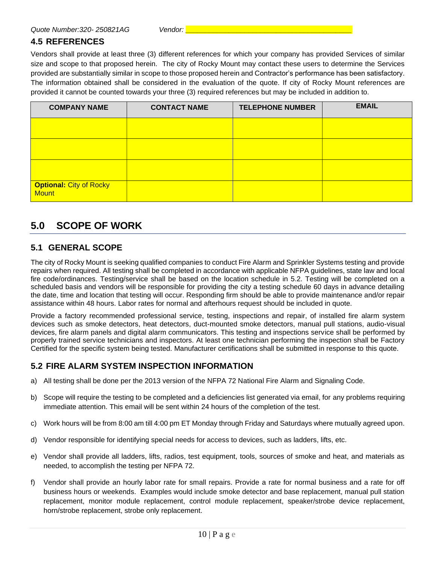#### <span id="page-9-0"></span>**4.5 REFERENCES**

Vendors shall provide at least three (3) different references for which your company has provided Services of similar size and scope to that proposed herein. The city of Rocky Mount may contact these users to determine the Services provided are substantially similar in scope to those proposed herein and Contractor's performance has been satisfactory. The information obtained shall be considered in the evaluation of the quote. If city of Rocky Mount references are provided it cannot be counted towards your three (3) required references but may be included in addition to.

| <b>COMPANY NAME</b>                            | <b>CONTACT NAME</b> | <b>TELEPHONE NUMBER</b> | <b>EMAIL</b> |
|------------------------------------------------|---------------------|-------------------------|--------------|
|                                                |                     |                         |              |
|                                                |                     |                         |              |
|                                                |                     |                         |              |
| <b>Optional: City of Rocky</b><br><b>Mount</b> |                     |                         |              |

# <span id="page-9-1"></span>**5.0 SCOPE OF WORK**

#### <span id="page-9-2"></span>**5.1 GENERAL SCOPE**

The city of Rocky Mount is seeking qualified companies to conduct Fire Alarm and Sprinkler Systems testing and provide repairs when required. All testing shall be completed in accordance with applicable NFPA guidelines, state law and local fire code/ordinances. Testing/service shall be based on the location schedule in 5.2. Testing will be completed on a scheduled basis and vendors will be responsible for providing the city a testing schedule 60 days in advance detailing the date, time and location that testing will occur. Responding firm should be able to provide maintenance and/or repair assistance within 48 hours. Labor rates for normal and afterhours request should be included in quote.

Provide a factory recommended professional service, testing, inspections and repair, of installed fire alarm system devices such as smoke detectors, heat detectors, duct-mounted smoke detectors, manual pull stations, audio-visual devices, fire alarm panels and digital alarm communicators. This testing and inspections service shall be performed by properly trained service technicians and inspectors. At least one technician performing the inspection shall be Factory Certified for the specific system being tested. Manufacturer certifications shall be submitted in response to this quote.

#### <span id="page-9-3"></span>**5.2 FIRE ALARM SYSTEM INSPECTION INFORMATION**

- a) All testing shall be done per the 2013 version of the NFPA 72 National Fire Alarm and Signaling Code.
- b) Scope will require the testing to be completed and a deficiencies list generated via email, for any problems requiring immediate attention. This email will be sent within 24 hours of the completion of the test.
- c) Work hours will be from 8:00 am till 4:00 pm ET Monday through Friday and Saturdays where mutually agreed upon.
- d) Vendor responsible for identifying special needs for access to devices, such as ladders, lifts, etc.
- e) Vendor shall provide all ladders, lifts, radios, test equipment, tools, sources of smoke and heat, and materials as needed, to accomplish the testing per NFPA 72.
- f) Vendor shall provide an hourly labor rate for small repairs. Provide a rate for normal business and a rate for off business hours or weekends. Examples would include smoke detector and base replacement, manual pull station replacement, monitor module replacement, control module replacement, speaker/strobe device replacement, horn/strobe replacement, strobe only replacement.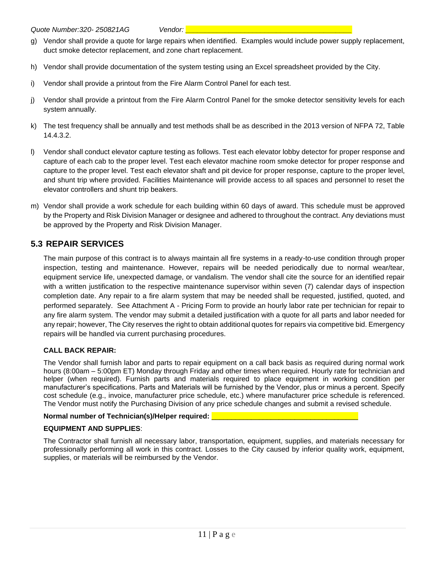- g) Vendor shall provide a quote for large repairs when identified. Examples would include power supply replacement, duct smoke detector replacement, and zone chart replacement.
- h) Vendor shall provide documentation of the system testing using an Excel spreadsheet provided by the City.
- i) Vendor shall provide a printout from the Fire Alarm Control Panel for each test.
- j) Vendor shall provide a printout from the Fire Alarm Control Panel for the smoke detector sensitivity levels for each system annually.
- k) The test frequency shall be annually and test methods shall be as described in the 2013 version of NFPA 72, Table 14.4.3.2.
- l) Vendor shall conduct elevator capture testing as follows. Test each elevator lobby detector for proper response and capture of each cab to the proper level. Test each elevator machine room smoke detector for proper response and capture to the proper level. Test each elevator shaft and pit device for proper response, capture to the proper level, and shunt trip where provided. Facilities Maintenance will provide access to all spaces and personnel to reset the elevator controllers and shunt trip beakers.
- m) Vendor shall provide a work schedule for each building within 60 days of award. This schedule must be approved by the Property and Risk Division Manager or designee and adhered to throughout the contract. Any deviations must be approved by the Property and Risk Division Manager.

#### <span id="page-10-0"></span>**5.3 REPAIR SERVICES**

The main purpose of this contract is to always maintain all fire systems in a ready-to-use condition through proper inspection, testing and maintenance. However, repairs will be needed periodically due to normal wear/tear, equipment service life, unexpected damage, or vandalism. The vendor shall cite the source for an identified repair with a written justification to the respective maintenance supervisor within seven (7) calendar days of inspection completion date. Any repair to a fire alarm system that may be needed shall be requested, justified, quoted, and performed separately. See Attachment A - Pricing Form to provide an hourly labor rate per technician for repair to any fire alarm system. The vendor may submit a detailed justification with a quote for all parts and labor needed for any repair; however, The City reserves the right to obtain additional quotes for repairs via competitive bid. Emergency repairs will be handled via current purchasing procedures.

#### **CALL BACK REPAIR:**

The Vendor shall furnish labor and parts to repair equipment on a call back basis as required during normal work hours (8:00am – 5:00pm ET) Monday through Friday and other times when required. Hourly rate for technician and helper (when required). Furnish parts and materials required to place equipment in working condition per manufacturer's specifications. Parts and Materials will be furnished by the Vendor, plus or minus a percent. Specify cost schedule (e.g., invoice, manufacturer price schedule, etc.) where manufacturer price schedule is referenced. The Vendor must notify the Purchasing Division of any price schedule changes and submit a revised schedule.

#### Normal number of Technician(s)/Helper required:

#### **EQUIPMENT AND SUPPLIES**:

The Contractor shall furnish all necessary labor, transportation, equipment, supplies, and materials necessary for professionally performing all work in this contract. Losses to the City caused by inferior quality work, equipment, supplies, or materials will be reimbursed by the Vendor.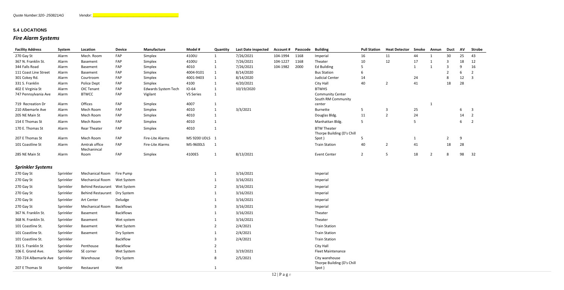# <span id="page-11-0"></span>**5.4 LOCATIONS**

# *Fire Alarm Systems*

| <b>Facility Address</b>  | <b>System</b> | Location                     | <b>Device</b>    | Manufacture                | Model #        | Quantity     | <b>Last Date inspected</b> | <b>Account #</b> | Passcode | <b>Building</b>                              | <b>Pull Station</b> | <b>Heat Detector</b> | <b>Smoke</b> | Annun          | <b>Duct</b>    | <b>AV</b> | <b>Strobe</b>  |
|--------------------------|---------------|------------------------------|------------------|----------------------------|----------------|--------------|----------------------------|------------------|----------|----------------------------------------------|---------------------|----------------------|--------------|----------------|----------------|-----------|----------------|
| 270 Gay St               | Alarm         | Mech. Room                   | FAP              | Simplex                    | 4100U          | $\mathbf{1}$ | 7/26/2021                  | 104-1994         | 1168     | Imperial                                     | 16                  | 11                   | 44           |                | 30             | 25        | 43             |
| 367 N. Franklin St.      | Alarm         | Basement                     | FAP              | Simplex                    | 4100U          | 1            | 7/26/2021                  | 104-1227         | 1168     | Theater                                      | 10                  | 12                   | 17           |                | 3              | 18        | 12             |
| 344 Falls Road           | Alarm         | Basement                     | FAP              | Simplex                    | 4010           | $\mathbf 1$  | 7/26/2021                  | 104-1982         | 2000     | <b>Ed Building</b>                           |                     |                      | $\mathbf{1}$ |                | 3              | 9         | 16             |
| 111 Coast Line Street    | Alarm         | Basement                     | FAP              | Simplex                    | 4004-9101      |              | 8/14/2020                  |                  |          | <b>Bus Station</b>                           | 6                   |                      |              |                |                | -6        |                |
| 301 Cokey Rd.            | Alarm         | Courtroom                    | FAP              | Simplex                    | 4001-9403      |              | 8/14/2020                  |                  |          | Judicial Center                              | 14                  |                      | 24           |                | 8              | 12        | -3             |
| 331 S. Franklin          | Alarm         | Police Dept                  | FAP              | Simplex                    | 4100           | 1            | 4/20/2021                  |                  |          | City Hall                                    | 40                  | $\overline{2}$       | 41           |                | 18             | 28        |                |
| 402 E Virginia St        | Alarm         | OIC Tenant                   | FAP              | <b>Edwards System Tech</b> | $IO-64$        | $\mathbf{1}$ | 10/19/2020                 |                  |          | <b>BTWHS</b>                                 |                     |                      |              |                |                |           |                |
| 747 Pennsylvania Ave     | Alarm         | <b>BTWCC</b>                 | FAP              | Vigilant                   | VS Series      | 1            |                            |                  |          | <b>Community Center</b>                      |                     |                      |              |                |                |           |                |
| 719 Recreation Dr        | Alarm         | Offices                      | FAP              | Simplex                    | 4007           | $\mathbf{1}$ |                            |                  |          | South RM Community<br>center                 |                     |                      |              |                |                |           |                |
| 210 Albemarle Ave        | Alarm         | Mech Room                    | FAP              | Simplex                    | 4010           | $\mathbf{1}$ | 3/3/2021                   |                  |          | Burnette                                     | -5                  | 3                    | 25           |                |                | 6         | 3              |
| 205 NE Main St           | Alarm         | Mech Room                    | FAP              | Simplex                    | 4010           | $\mathbf{1}$ |                            |                  |          | Douglas Bldg.                                | 11                  | $\overline{2}$       | 24           |                |                | 14        | -2             |
| 154 E Thomas St          | Alarm         | Mech Room                    | FAP              | Simplex                    | 4010           | $\mathbf{1}$ |                            |                  |          | Manhattan Bldg.                              | 5                   |                      | 5            |                |                | 6         | $\overline{2}$ |
| 170 E. Thomas St         | Alarm         | <b>Rear Theater</b>          | FAP              | Simplex                    | 4010           | $\mathbf{1}$ |                            |                  |          | <b>BTW Theater</b>                           |                     |                      |              |                |                |           |                |
|                          |               |                              |                  |                            |                |              |                            |                  |          | Thorpe Building (D's Chill                   |                     |                      |              |                |                |           |                |
| 207 E Thomas St          | Alarm         | Mech Room                    | FAP              | Fire-Lite Alarms           | MS 9200 UDLS 1 |              |                            |                  |          | Spot)                                        |                     |                      |              |                | $\overline{2}$ | 9         |                |
| 101 Coastline St         | Alarm         | Amtrak office<br>Mechanincal | FAP              | Fire-Lite Alarms           | MS-9600LS      | - 1          |                            |                  |          | <b>Train Station</b>                         | 40                  | $\overline{2}$       | 41           |                | 18             | 28        |                |
| 285 NE Main St           | Alarm         | Room                         | FAP              | Simplex                    | 4100ES         | $\mathbf{1}$ | 8/13/2021                  |                  |          | <b>Event Center</b>                          | $\overline{2}$      | 5                    | 18           | $\overline{2}$ | 8              | 98        | 32             |
| <b>Sprinkler Systems</b> |               |                              |                  |                            |                |              |                            |                  |          |                                              |                     |                      |              |                |                |           |                |
| 270 Gay St               | Sprinkler     | Mechanical Room              | Fire Pump        |                            |                | 1            | 3/16/2021                  |                  |          | Imperial                                     |                     |                      |              |                |                |           |                |
| 270 Gay St               | Sprinkler     | Mechanical Room              | Wet System       |                            |                |              | 3/16/2021                  |                  |          | Imperial                                     |                     |                      |              |                |                |           |                |
| 270 Gay St               | Sprinkler     | Behind Restaurant Wet System |                  |                            |                |              | 3/16/2021                  |                  |          | Imperial                                     |                     |                      |              |                |                |           |                |
| 270 Gay St               | Sprinkler     | <b>Behind Restaurant</b>     | Dry System       |                            |                |              | 3/16/2021                  |                  |          | Imperial                                     |                     |                      |              |                |                |           |                |
| 270 Gay St               | Sprinkler     | Art Center                   | Deludge          |                            |                |              | 3/16/2021                  |                  |          | Imperial                                     |                     |                      |              |                |                |           |                |
| 270 Gay St               | Sprinkler     | <b>Mechanical Room</b>       | <b>Backflows</b> |                            |                | 3            | 3/16/2021                  |                  |          | Imperial                                     |                     |                      |              |                |                |           |                |
| 367 N. Franklin St.      | Sprinkler     | Basement                     | <b>Backflows</b> |                            |                |              | 3/16/2021                  |                  |          | Theater                                      |                     |                      |              |                |                |           |                |
| 368 N. Franklin St.      | Sprinkler     | Basement                     | Wet system       |                            |                |              | 3/16/2021                  |                  |          | Theater                                      |                     |                      |              |                |                |           |                |
| 101 Coastline St.        | Sprinkler     | Basement                     | Wet System       |                            |                |              | 2/4/2021                   |                  |          | <b>Train Station</b>                         |                     |                      |              |                |                |           |                |
| 101 Coastline St.        | Sprinkler     | Basement                     | Dry System       |                            |                |              | 2/4/2021                   |                  |          | <b>Train Station</b>                         |                     |                      |              |                |                |           |                |
| 101 Coastline St.        | Sprinkler     |                              | Backflow         |                            |                | 3            | 2/4/2021                   |                  |          | <b>Train Station</b>                         |                     |                      |              |                |                |           |                |
| 331 S. Franklin St       | Sprinkler     | Penthouse                    | Backflow         |                            |                |              |                            |                  |          | City Hall                                    |                     |                      |              |                |                |           |                |
| 106 E. Grand Ave.        | Sprinkler     | SE corner                    | Wet System       |                            |                |              | 3/19/2021                  |                  |          | Fleet Maintenance                            |                     |                      |              |                |                |           |                |
| 720-724 Albemarle Ave    | Sprinkler     | Warehouse                    | Dry System       |                            |                | 8            | 2/5/2021                   |                  |          | City warehouse<br>Thorpe Building (D's Chill |                     |                      |              |                |                |           |                |
| 207 E Thomas St          | Sprinkler     | Restaurant                   | Wet              |                            |                |              |                            |                  |          | Spot)                                        |                     |                      |              |                |                |           |                |
|                          |               |                              |                  |                            |                |              |                            |                  |          |                                              |                     |                      |              |                |                |           |                |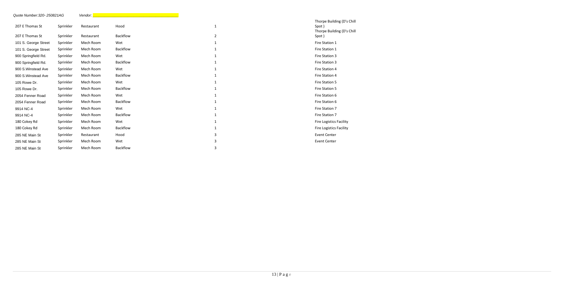## Building (D's Chill

# Building (D's Chill

| Quote Number: 320-250821AG |           | Vendor:    |                 |                |                                                       |
|----------------------------|-----------|------------|-----------------|----------------|-------------------------------------------------------|
| 207 E Thomas St            | Sprinkler | Restaurant | Hood            | $\mathbf{1}$   | Thorpe Building (D's<br>Spot)<br>Thorpe Building (D's |
| 207 E Thomas St            | Sprinkler | Restaurant | <b>Backflow</b> | $\overline{2}$ | Spot)                                                 |
| 101 S. George Street       | Sprinkler | Mech Room  | Wet             |                | Fire Station 1                                        |
| 101 S. George Street       | Sprinkler | Mech Room  | Backflow        |                | Fire Station 1                                        |
| 900 Springfield Rd.        | Sprinkler | Mech Room  | Wet             |                | Fire Station 3                                        |
| 900 Springfield Rd.        | Sprinkler | Mech Room  | Backflow        |                | Fire Station 3                                        |
| 900 S. Winstead Ave        | Sprinkler | Mech Room  | Wet             |                | Fire Station 4                                        |
| 900 S. Winstead Ave        | Sprinkler | Mech Room  | <b>Backflow</b> |                | Fire Station 4                                        |
| 105 Rowe Dr.               | Sprinkler | Mech Room  | Wet             |                | Fire Station 5                                        |
| 105 Rowe Dr.               | Sprinkler | Mech Room  | Backflow        |                | Fire Station 5                                        |
| 2054 Fenner Road           | Sprinkler | Mech Room  | Wet             |                | Fire Station 6                                        |
| 2054 Fenner Road           | Sprinkler | Mech Room  | Backflow        |                | Fire Station 6                                        |
| 9914 NC-4                  | Sprinkler | Mech Room  | Wet             |                | Fire Station 7                                        |
| 9914 NC-4                  | Sprinkler | Mech Room  | Backflow        |                | Fire Station 7                                        |
| 180 Cokey Rd               | Sprinkler | Mech Room  | Wet             |                | Fire Logistics Facility                               |
| 180 Cokey Rd               | Sprinkler | Mech Room  | <b>Backflow</b> |                | <b>Fire Logistics Facility</b>                        |
| 285 NE Main St             | Sprinkler | Restaurant | Hood            | 3              | <b>Event Center</b>                                   |
| 285 NE Main St             | Sprinkler | Mech Room  | Wet             | 3              | <b>Event Center</b>                                   |
| 285 NE Main St             | Sprinkler | Mech Room  | Backflow        | 3              |                                                       |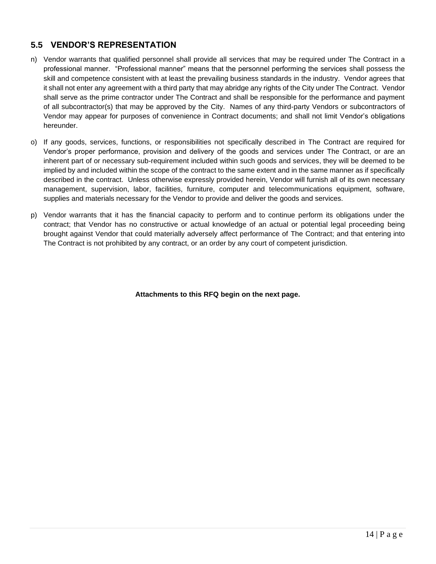### <span id="page-13-0"></span>**5.5 VENDOR'S REPRESENTATION**

- n) Vendor warrants that qualified personnel shall provide all services that may be required under The Contract in a professional manner. "Professional manner" means that the personnel performing the services shall possess the skill and competence consistent with at least the prevailing business standards in the industry. Vendor agrees that it shall not enter any agreement with a third party that may abridge any rights of the City under The Contract. Vendor shall serve as the prime contractor under The Contract and shall be responsible for the performance and payment of all subcontractor(s) that may be approved by the City. Names of any third-party Vendors or subcontractors of Vendor may appear for purposes of convenience in Contract documents; and shall not limit Vendor's obligations hereunder.
- o) If any goods, services, functions, or responsibilities not specifically described in The Contract are required for Vendor's proper performance, provision and delivery of the goods and services under The Contract, or are an inherent part of or necessary sub-requirement included within such goods and services, they will be deemed to be implied by and included within the scope of the contract to the same extent and in the same manner as if specifically described in the contract. Unless otherwise expressly provided herein, Vendor will furnish all of its own necessary management, supervision, labor, facilities, furniture, computer and telecommunications equipment, software, supplies and materials necessary for the Vendor to provide and deliver the goods and services.
- p) Vendor warrants that it has the financial capacity to perform and to continue perform its obligations under the contract; that Vendor has no constructive or actual knowledge of an actual or potential legal proceeding being brought against Vendor that could materially adversely affect performance of The Contract; and that entering into The Contract is not prohibited by any contract, or an order by any court of competent jurisdiction.

**Attachments to this RFQ begin on the next page.**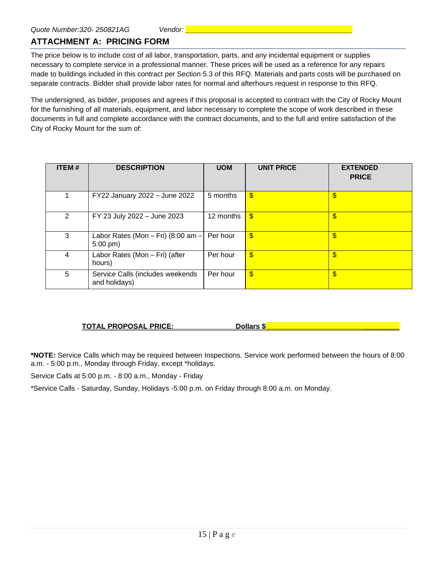#### <span id="page-14-0"></span>**ATTACHMENT A: PRICING FORM**

The price below is to include cost of all labor, transportation, parts, and any incidental equipment or supplies necessary to complete service in a professional manner. These prices will be used as a reference for any repairs made to buildings included in this contract per Section 5.3 of this RFQ. Materials and parts costs will be purchased on separate contracts. Bidder shall provide labor rates for normal and afterhours request in response to this RFQ.

The undersigned, as bidder, proposes and agrees if this proposal is accepted to contract with the City of Rocky Mount for the furnishing of all materials, equipment, and labor necessary to complete the scope of work described in these documents in full and complete accordance with the contract documents, and to the full and entire satisfaction of the City of Rocky Mount for the sum of:

| <b>ITEM#</b>   | <b>DESCRIPTION</b>                                | <b>UOM</b> | <b>UNIT PRICE</b>         | <b>EXTENDED</b><br><b>PRICE</b> |
|----------------|---------------------------------------------------|------------|---------------------------|---------------------------------|
|                | FY22 January 2022 - June 2022                     | 5 months   | $\frac{1}{2}$             | \$                              |
| $\overline{2}$ | FY 23 July 2022 - June 2023                       | 12 months  | \$                        | $\overline{\mathbf{S}}$         |
| 3              | Labor Rates (Mon - Fri) (8:00 am -<br>$5:00$ pm)  | Per hour   | $\boldsymbol{\mathsf{s}}$ | \$                              |
| 4              | Labor Rates (Mon - Fri) (after<br>hours)          | Per hour   | \$                        | \$                              |
| 5              | Service Calls (includes weekends<br>and holidays) | Per hour   | $\boldsymbol{\mathsf{s}}$ | \$                              |

#### **TOTAL PROPOSAL PRICE: Dollars \$ \_\_\_\_\_\_\_\_\_**

**\*NOTE:** Service Calls which may be required between Inspections. Service work performed between the hours of 8:00 a.m. - 5:00 p.m., Monday through Friday, except \*holidays.

Service Calls at 5:00 p.m. - 8:00 a.m., Monday - Friday

\*Service Calls - Saturday, Sunday, Holidays -5:00 p.m. on Friday through 8:00 a.m. on Monday.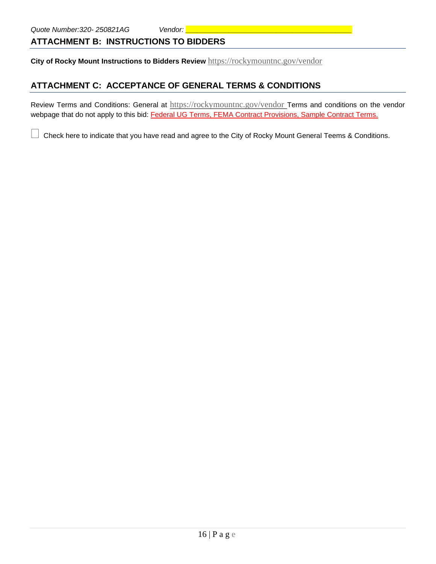#### <span id="page-15-0"></span>**ATTACHMENT B: INSTRUCTIONS TO BIDDERS**

**City of Rocky Mount Instructions to Bidders Review** <https://rockymountnc.gov/vendor>

#### <span id="page-15-1"></span>**ATTACHMENT C: ACCEPTANCE OF GENERAL TERMS & CONDITIONS**

Review Terms and Conditions: General at <https://rockymountnc.gov/vendor> Terms and conditions on the vendor webpage that do not apply to this bid: Federal UG Terms, FEMA Contract Provisions, Sample Contract Terms.

Check here to indicate that you have read and agree to the City of Rocky Mount General Teems & Conditions.